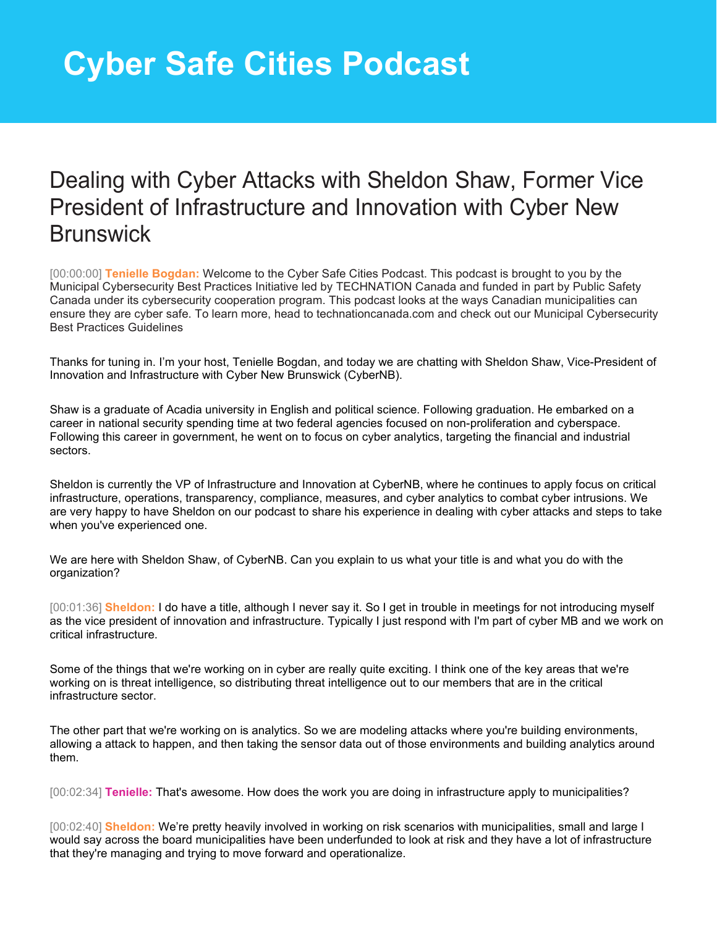## Dealing with Cyber Attacks with Sheldon Shaw, Former Vice President of Infrastructure and Innovation with Cyber New **Brunswick**

[00:00:00] **Tenielle Bogdan:** Welcome to the Cyber Safe Cities Podcast. This podcast is brought to you by the Municipal Cybersecurity Best Practices Initiative led by TECHNATION Canada and funded in part by Public Safety Canada under its cybersecurity cooperation program. This podcast looks at the ways Canadian municipalities can ensure they are cyber safe. To learn more, head to technationcanada.com and check out our Municipal Cybersecurity Best Practices Guidelines

Thanks for tuning in. I'm your host, Tenielle Bogdan, and today we are chatting with Sheldon Shaw, Vice-President of Innovation and Infrastructure with Cyber New Brunswick (CyberNB).

Shaw is a graduate of Acadia university in English and political science. Following graduation. He embarked on a career in national security spending time at two federal agencies focused on non-proliferation and cyberspace. Following this career in government, he went on to focus on cyber analytics, targeting the financial and industrial sectors.

Sheldon is currently the VP of Infrastructure and Innovation at CyberNB, where he continues to apply focus on critical infrastructure, operations, transparency, compliance, measures, and cyber analytics to combat cyber intrusions. We are very happy to have Sheldon on our podcast to share his experience in dealing with cyber attacks and steps to take when you've experienced one.

We are here with Sheldon Shaw, of CyberNB. Can you explain to us what your title is and what you do with the organization?

[00:01:36] **Sheldon:** I do have a title, although I never say it. So I get in trouble in meetings for not introducing myself as the vice president of innovation and infrastructure. Typically I just respond with I'm part of cyber MB and we work on critical infrastructure.

Some of the things that we're working on in cyber are really quite exciting. I think one of the key areas that we're working on is threat intelligence, so distributing threat intelligence out to our members that are in the critical infrastructure sector.

The other part that we're working on is analytics. So we are modeling attacks where you're building environments, allowing a attack to happen, and then taking the sensor data out of those environments and building analytics around them.

[00:02:34] **Tenielle:** That's awesome. How does the work you are doing in infrastructure apply to municipalities?

[00:02:40] **Sheldon:** We're pretty heavily involved in working on risk scenarios with municipalities, small and large I would say across the board municipalities have been underfunded to look at risk and they have a lot of infrastructure that they're managing and trying to move forward and operationalize.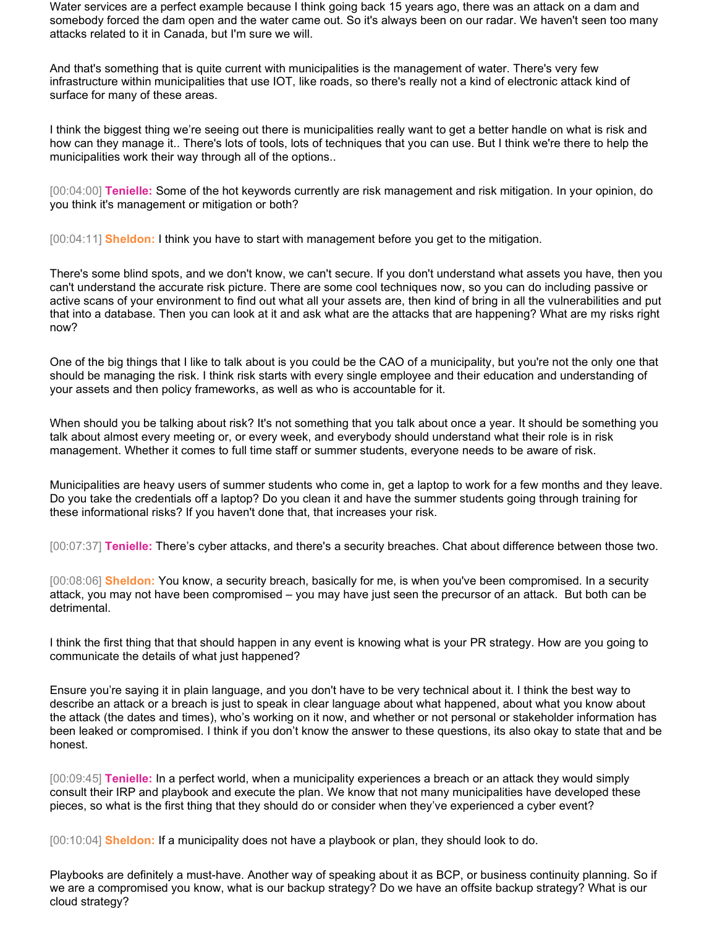Water services are a perfect example because I think going back 15 years ago, there was an attack on a dam and somebody forced the dam open and the water came out. So it's always been on our radar. We haven't seen too many attacks related to it in Canada, but I'm sure we will.

And that's something that is quite current with municipalities is the management of water. There's very few infrastructure within municipalities that use IOT, like roads, so there's really not a kind of electronic attack kind of surface for many of these areas.

I think the biggest thing we're seeing out there is municipalities really want to get a better handle on what is risk and how can they manage it.. There's lots of tools, lots of techniques that you can use. But I think we're there to help the municipalities work their way through all of the options..

[00:04:00] **Tenielle:** Some of the hot keywords currently are risk management and risk mitigation. In your opinion, do you think it's management or mitigation or both?

[00:04:11] **Sheldon:** I think you have to start with management before you get to the mitigation.

There's some blind spots, and we don't know, we can't secure. If you don't understand what assets you have, then you can't understand the accurate risk picture. There are some cool techniques now, so you can do including passive or active scans of your environment to find out what all your assets are, then kind of bring in all the vulnerabilities and put that into a database. Then you can look at it and ask what are the attacks that are happening? What are my risks right now?

One of the big things that I like to talk about is you could be the CAO of a municipality, but you're not the only one that should be managing the risk. I think risk starts with every single employee and their education and understanding of your assets and then policy frameworks, as well as who is accountable for it.

When should you be talking about risk? It's not something that you talk about once a year. It should be something you talk about almost every meeting or, or every week, and everybody should understand what their role is in risk management. Whether it comes to full time staff or summer students, everyone needs to be aware of risk.

Municipalities are heavy users of summer students who come in, get a laptop to work for a few months and they leave. Do you take the credentials off a laptop? Do you clean it and have the summer students going through training for these informational risks? If you haven't done that, that increases your risk.

[00:07:37] **Tenielle:** There's cyber attacks, and there's a security breaches. Chat about difference between those two.

[00:08:06] **Sheldon:** You know, a security breach, basically for me, is when you've been compromised. In a security attack, you may not have been compromised – you may have just seen the precursor of an attack. But both can be detrimental.

I think the first thing that that should happen in any event is knowing what is your PR strategy. How are you going to communicate the details of what just happened?

Ensure you're saying it in plain language, and you don't have to be very technical about it. I think the best way to describe an attack or a breach is just to speak in clear language about what happened, about what you know about the attack (the dates and times), who's working on it now, and whether or not personal or stakeholder information has been leaked or compromised. I think if you don't know the answer to these questions, its also okay to state that and be honest.

[00:09:45] **Tenielle:** In a perfect world, when a municipality experiences a breach or an attack they would simply consult their IRP and playbook and execute the plan. We know that not many municipalities have developed these pieces, so what is the first thing that they should do or consider when they've experienced a cyber event?

[00:10:04] **Sheldon:** If a municipality does not have a playbook or plan, they should look to do.

Playbooks are definitely a must-have. Another way of speaking about it as BCP, or business continuity planning. So if we are a compromised you know, what is our backup strategy? Do we have an offsite backup strategy? What is our cloud strategy?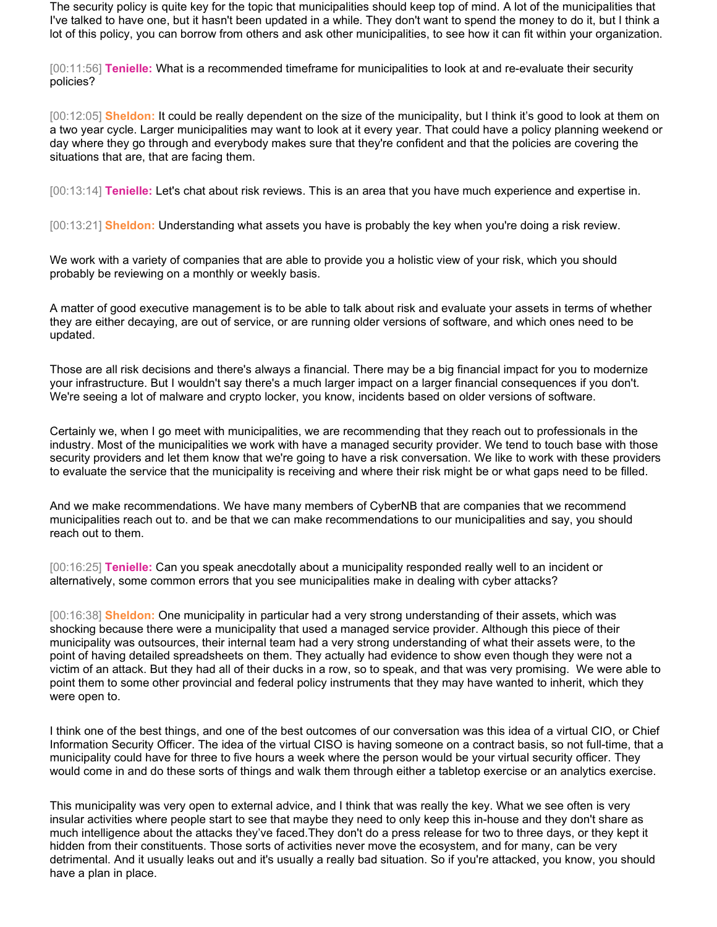The security policy is quite key for the topic that municipalities should keep top of mind. A lot of the municipalities that I've talked to have one, but it hasn't been updated in a while. They don't want to spend the money to do it, but I think a lot of this policy, you can borrow from others and ask other municipalities, to see how it can fit within your organization.

[00:11:56] **Tenielle:** What is a recommended timeframe for municipalities to look at and re-evaluate their security policies?

[00:12:05] **Sheldon:** It could be really dependent on the size of the municipality, but I think it's good to look at them on a two year cycle. Larger municipalities may want to look at it every year. That could have a policy planning weekend or day where they go through and everybody makes sure that they're confident and that the policies are covering the situations that are, that are facing them.

[00:13:14] **Tenielle:** Let's chat about risk reviews. This is an area that you have much experience and expertise in.

[00:13:21] **Sheldon:** Understanding what assets you have is probably the key when you're doing a risk review.

We work with a variety of companies that are able to provide you a holistic view of your risk, which you should probably be reviewing on a monthly or weekly basis.

A matter of good executive management is to be able to talk about risk and evaluate your assets in terms of whether they are either decaying, are out of service, or are running older versions of software, and which ones need to be updated.

Those are all risk decisions and there's always a financial. There may be a big financial impact for you to modernize your infrastructure. But I wouldn't say there's a much larger impact on a larger financial consequences if you don't. We're seeing a lot of malware and crypto locker, you know, incidents based on older versions of software.

Certainly we, when I go meet with municipalities, we are recommending that they reach out to professionals in the industry. Most of the municipalities we work with have a managed security provider. We tend to touch base with those security providers and let them know that we're going to have a risk conversation. We like to work with these providers to evaluate the service that the municipality is receiving and where their risk might be or what gaps need to be filled.

And we make recommendations. We have many members of CyberNB that are companies that we recommend municipalities reach out to. and be that we can make recommendations to our municipalities and say, you should reach out to them.

[00:16:25] **Tenielle:** Can you speak anecdotally about a municipality responded really well to an incident or alternatively, some common errors that you see municipalities make in dealing with cyber attacks?

[00:16:38] **Sheldon:** One municipality in particular had a very strong understanding of their assets, which was shocking because there were a municipality that used a managed service provider. Although this piece of their municipality was outsources, their internal team had a very strong understanding of what their assets were, to the point of having detailed spreadsheets on them. They actually had evidence to show even though they were not a victim of an attack. But they had all of their ducks in a row, so to speak, and that was very promising. We were able to point them to some other provincial and federal policy instruments that they may have wanted to inherit, which they were open to.

I think one of the best things, and one of the best outcomes of our conversation was this idea of a virtual CIO, or Chief Information Security Officer. The idea of the virtual CISO is having someone on a contract basis, so not full-time, that a municipality could have for three to five hours a week where the person would be your virtual security officer. They would come in and do these sorts of things and walk them through either a tabletop exercise or an analytics exercise.

This municipality was very open to external advice, and I think that was really the key. What we see often is very insular activities where people start to see that maybe they need to only keep this in-house and they don't share as much intelligence about the attacks they've faced.They don't do a press release for two to three days, or they kept it hidden from their constituents. Those sorts of activities never move the ecosystem, and for many, can be very detrimental. And it usually leaks out and it's usually a really bad situation. So if you're attacked, you know, you should have a plan in place.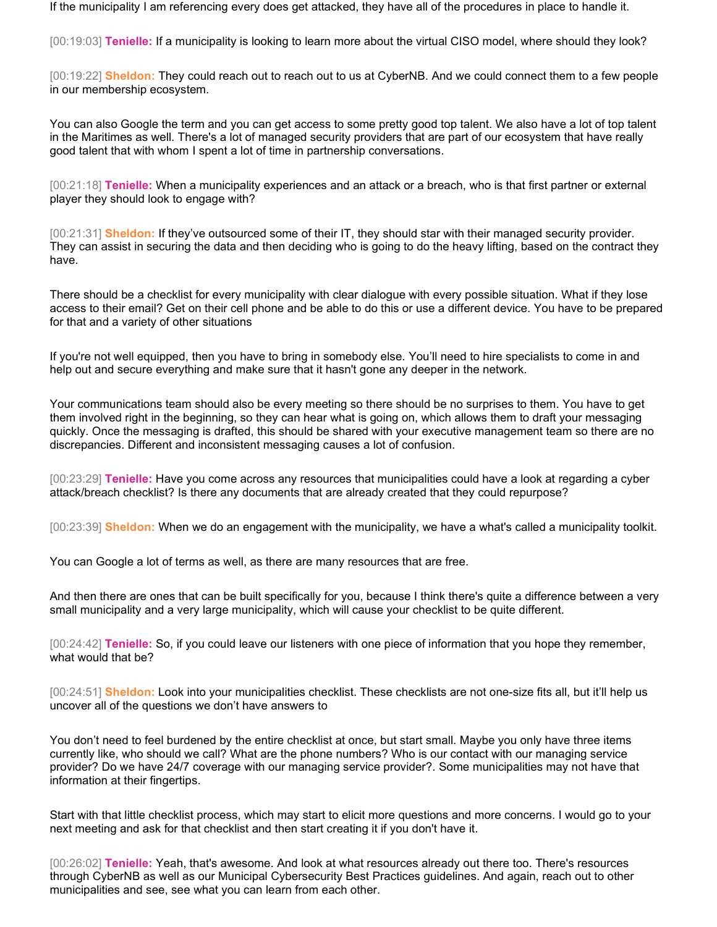If the municipality I am referencing every does get attacked, they have all of the procedures in place to handle it.

[00:19:03] **Tenielle:** If a municipality is looking to learn more about the virtual CISO model, where should they look?

[00:19:22] **Sheldon:** They could reach out to reach out to us at CyberNB. And we could connect them to a few people in our membership ecosystem.

You can also Google the term and you can get access to some pretty good top talent. We also have a lot of top talent in the Maritimes as well. There's a lot of managed security providers that are part of our ecosystem that have really good talent that with whom I spent a lot of time in partnership conversations.

[00:21:18] **Tenielle:** When a municipality experiences and an attack or a breach, who is that first partner or external player they should look to engage with?

[00:21:31] **Sheldon:** If they've outsourced some of their IT, they should star with their managed security provider. They can assist in securing the data and then deciding who is going to do the heavy lifting, based on the contract they have.

There should be a checklist for every municipality with clear dialogue with every possible situation. What if they lose access to their email? Get on their cell phone and be able to do this or use a different device. You have to be prepared for that and a variety of other situations

If you're not well equipped, then you have to bring in somebody else. You'll need to hire specialists to come in and help out and secure everything and make sure that it hasn't gone any deeper in the network.

Your communications team should also be every meeting so there should be no surprises to them. You have to get them involved right in the beginning, so they can hear what is going on, which allows them to draft your messaging quickly. Once the messaging is drafted, this should be shared with your executive management team so there are no discrepancies. Different and inconsistent messaging causes a lot of confusion.

[00:23:29] **Tenielle:** Have you come across any resources that municipalities could have a look at regarding a cyber attack/breach checklist? Is there any documents that are already created that they could repurpose?

[00:23:39] **Sheldon:** When we do an engagement with the municipality, we have a what's called a municipality toolkit.

You can Google a lot of terms as well, as there are many resources that are free.

And then there are ones that can be built specifically for you, because I think there's quite a difference between a very small municipality and a very large municipality, which will cause your checklist to be quite different.

[00:24:42] **Tenielle:** So, if you could leave our listeners with one piece of information that you hope they remember, what would that be?

[00:24:51] **Sheldon:** Look into your municipalities checklist. These checklists are not one-size fits all, but it'll help us uncover all of the questions we don't have answers to

You don't need to feel burdened by the entire checklist at once, but start small. Maybe you only have three items currently like, who should we call? What are the phone numbers? Who is our contact with our managing service provider? Do we have 24/7 coverage with our managing service provider?. Some municipalities may not have that information at their fingertips.

Start with that little checklist process, which may start to elicit more questions and more concerns. I would go to your next meeting and ask for that checklist and then start creating it if you don't have it.

[00:26:02] **Tenielle:** Yeah, that's awesome. And look at what resources already out there too. There's resources through CyberNB as well as our Municipal Cybersecurity Best Practices guidelines. And again, reach out to other municipalities and see, see what you can learn from each other.